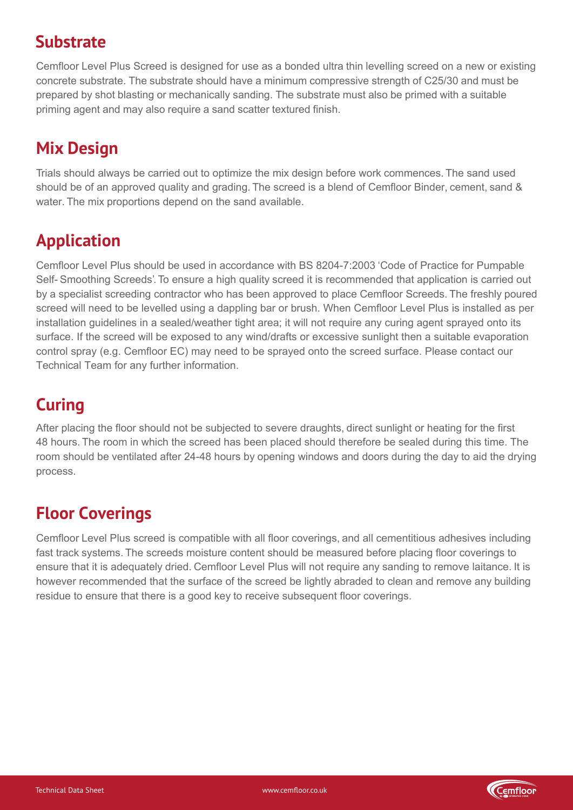#### **Substrate**

Cemfloor Level Plus Screed is designed for use as a thin levelling screed on a new or existing concrete substrate, as a floating screed over thermal or acoustic insulation with a minimum compressive strength of 100kPa, or as an unbonded screed on top of a plastic membrane. When bonding to an existing substrate; The substrate must have a minimum compressive strength of 25N/mm2. Surfaces must be sound and free from dust, dirt, grease, oil and any other contaminants. Any laitance or surface treatments must be removed before use. The substrate should be mechanically prepared to provide an open textured surface to ensure an adequate bond between the screed and the substrate. The substrate must also be primed with a suitable priming agent.

## **Mix Design**

Trials should always be carried out to optimize the mix design before work commences. The sand used should be of an approved quality and grading. The screed is a blend of Cemfloor Binder, cement, sand & water. The mix proportions depend on the sand available.

# **Application**

Cemfloor Level Plus should be used in accordance with BS 8204-7:2003 'Code of Practice for Pumpable Self- Smoothing Screeds'. To ensure a high quality screed it is recommended that application is carried out by a specialist screeding contractor who has been approved to place Cemfloor Screeds. The freshly poured screed will need to be levelled/finished using a dappling bar and/or a spiked roller. When Cemfloor Level Plus is installed as per installation guidelines in a sealed/weather tight area; it will not require any curing agent sprayed onto its surface. If the screed will be exposed to any wind/drafts or excessive sunlight then a suitable evaporation control spray (e.g. Cemfloor EC) may need to be sprayed onto the screed surface. Please contact our Technical Team for any further information.

### **Curing**

After placing the floor should not be subjected to severe draughts, direct sunlight or heating for the first 48 hours. The room in which the screed has been placed should therefore be sealed during this time. The room should be ventilated after 24-48 hours by opening windows and doors during the day to aid the drying process.

### **Floor Coverings**

Cemfloor Level Plus screed is compatible with all floor coverings, and all cementitious adhesives including fast track systems. The screeds moisture content should be measured before placing floor coverings to ensure that it is adequately dried. Cemfloor Level Plus will not require any sanding to remove laitance. It is however recommended that the surface of the screed be lightly abraded to clean and remove any building residue to ensure that there is a good key to receive subsequent floor coverings.